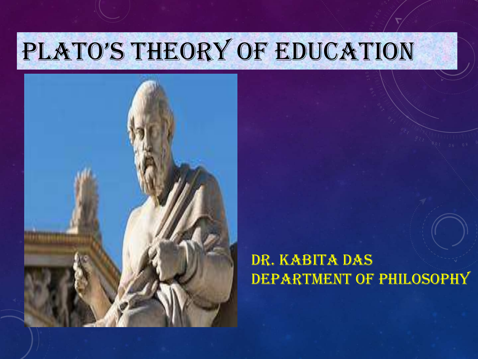# PLATO'S THEORY OF EDUCATION



### Dr. Kabita Das DEPARTMENT OF PHILOSOPHY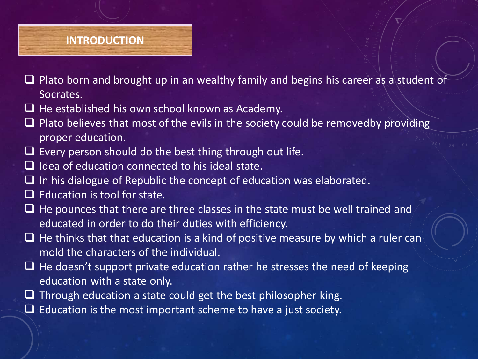#### **INTRODUCTION**

- Plato born and brought up in an wealthy family and begins his career as a student of Socrates.
- $\Box$  He established his own school known as Academy.
- $\Box$  Plato believes that most of the evils in the society could be removedby providing proper education.
- $\Box$  Every person should do the best thing through out life.
- $\Box$  Idea of education connected to his ideal state.
- $\Box$  In his dialogue of Republic the concept of education was elaborated.
- $\Box$  Education is tool for state.
- $\Box$  He pounces that there are three classes in the state must be well trained and educated in order to do their duties with efficiency.
- $\Box$  He thinks that that education is a kind of positive measure by which a ruler can mold the characters of the individual.
- $\Box$  He doesn't support private education rather he stresses the need of keeping education with a state only.
- $\Box$  Through education a state could get the best philosopher king.
- $\Box$  Education is the most important scheme to have a just society.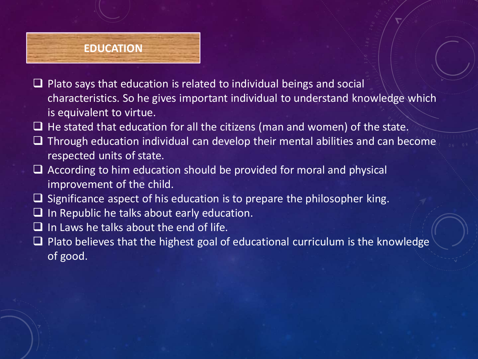## **EDUCATION**

- $\Box$  Plato says that education is related to individual beings and social characteristics. So he gives important individual to understand knowledge which is equivalent to virtue.
- $\Box$  He stated that education for all the citizens (man and women) of the state.
- $\Box$  Through education individual can develop their mental abilities and can become respected units of state.
- $\Box$  According to him education should be provided for moral and physical improvement of the child.
- $\Box$  Significance aspect of his education is to prepare the philosopher king.
- $\Box$  In Republic he talks about early education.
- $\Box$  In Laws he talks about the end of life.
- $\Box$  Plato believes that the highest goal of educational curriculum is the knowledge of good.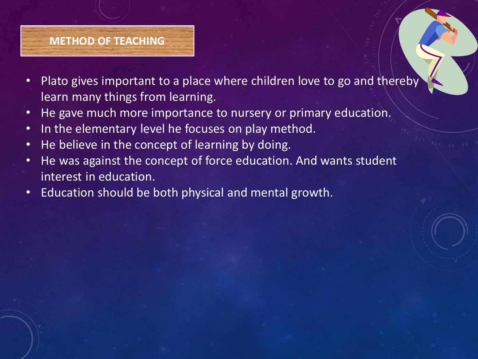#### **METHOD OF TEACHING**

- Plato gives important to a place where children love to go and thereby learn many things from learning.
- He gave much more importance to nursery or primary education.
- In the elementary level he focuses on play method.
- He believe in the concept of learning by doing.
- He was against the concept of force education. And wants student interest in education.
- Education should be both physical and mental growth.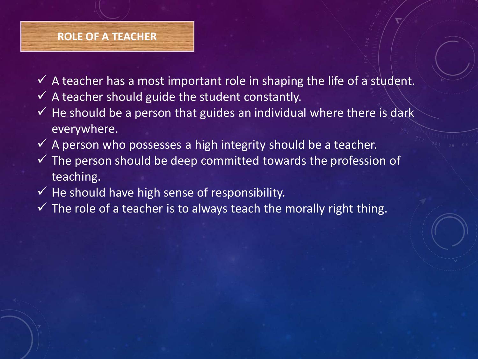#### **ROLE OF A TEACHER**

- $\checkmark$  A teacher has a most important role in shaping the life of a student.
- $\checkmark$  A teacher should guide the student constantly.
- $\checkmark$  He should be a person that guides an individual where there is dark everywhere.
- $\checkmark$  A person who possesses a high integrity should be a teacher.
- $\checkmark$  The person should be deep committed towards the profession of teaching.
- $\checkmark$  He should have high sense of responsibility.
- $\checkmark$  The role of a teacher is to always teach the morally right thing.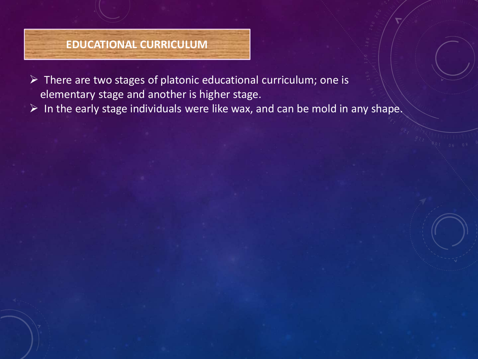#### **EDUCATIONAL CURRICULUM**

 $\triangleright$  There are two stages of platonic educational curriculum; one is elementary stage and another is higher stage.

 $\triangleright$  In the early stage individuals were like wax, and can be mold in any shape.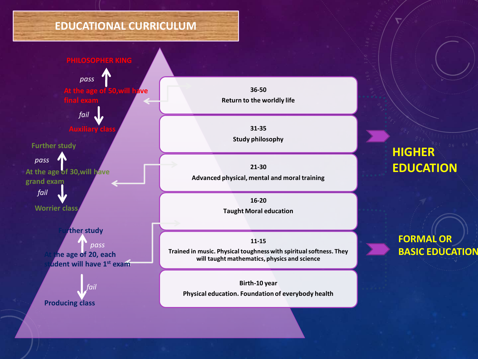#### **EDUCATIONAL CURRICULUM**



**36-50 Return to the worldly life**

> **31-35 Study philosophy**

**21-30 Advanced physical, mental and moral training**

> **16-20 Taught Moral education**

**11-15 Trained in music. Physical toughness with spiritual softness. They will taught mathematics, physics and science**

**Birth-10 year Physical education. Foundation of everybody health**

### **HIGHER EDUCATION**

**FORMAL OR BASIC EDUCATION**